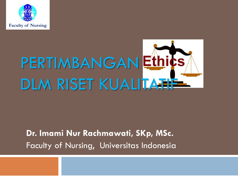

# PERTIMBANGAN Ethics DLM RISET KUALITATI

#### **Dr. Imami Nur Rachmawati, SKp, MSc.** Faculty of Nursing, Universitas Indonesia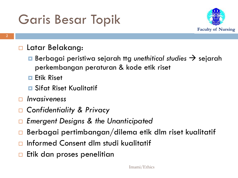### Garis Besar Topik



#### □ Latar Belakang:

- Berbagai peristiwa sejarah ttg *unethitical studies* → sejarah perkembangan peraturan & kode etik riset
- **Etik Riset**
- **□** Sifat Riset Kualitatif
- *Invasiveness*
- *Confidentiality & Privacy*
- *Emergent Designs & the Unanticipated*
- Berbagai pertimbangan/dilema etik dlm riset kualitatif
- Informed Consent dlm studi kualitatif
- Etik dan proses penelitian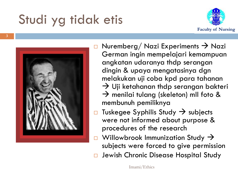# Studi yg tidak etis





- $\Box$  Nuremberg/ Nazi Experiments  $\rightarrow$  Nazi German ingin mempelajari kemampuan angkatan udaranya thdp serangan dingin & upaya mengatasinya dgn melakukan uji coba kpd para tahanan  $\rightarrow$  Uji ketahanan thdp serangan bakteri  $\rightarrow$  menilai tulang (skeleton) mll foto & membunuh pemiliknya
- $\Box$  Tuskegee Syphilis Study  $\rightarrow$  subjects were not informed about purpose & procedures of the research
- Willowbrook Immunization Study  $\rightarrow$ subjects were forced to give permission
- Jewish Chronic Disease Hospital Study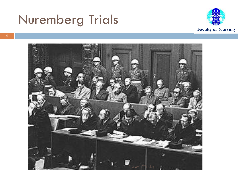#### Nuremberg Trials



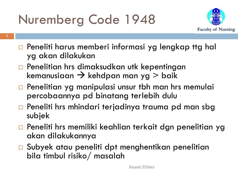# Nuremberg Code 1948

**5**



- **Peneliti harus memberi informasi yg lengkap ttg hal** yg akan dilakukan
- □ Penelitian hrs dimaksudkan utk kepentingan kemanusiaan  $\rightarrow$  kehdpan man yg > baik
- **Penelitian yg manipulasi unsur tbh man hrs memulai** percobaannya pd binatang terlebih dulu
- □ Peneliti hrs mhindari terjadinya trauma pd man sbg subjek
- Peneliti hrs memiliki keahlian terkait dgn penelitian yg akan dilakukannya
- Subyek atau peneliti dpt menghentikan penelitian bila timbul risiko/ masalah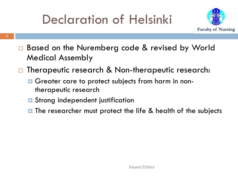## Declaration of Helsinki



- □ Based on the Nuremberg code & revised by World Medical Assembly
- □ Therapeutic research & Non-therapeutic research:
	- Greater care to protect subjects from harm in nontherapeutic research
	- **□** Strong independent justification
	- $\blacksquare$  The researcher must protect the life & health of the subjects

**6**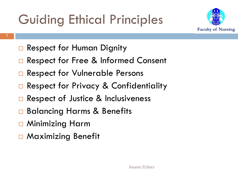# Guiding Ethical Principles



- **7**
- □ Respect for Human Dignity
- □ Respect for Free & Informed Consent
- □ Respect for Vulnerable Persons
- □ Respect for Privacy & Confidentiality
- □ Respect of Justice & Inclusiveness
- **□ Balancing Harms & Benefits**
- □ Minimizing Harm
- □ Maximizing Benefit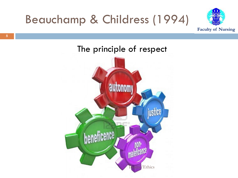



#### The principle of respect

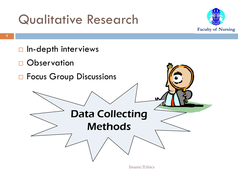#### Qualitative Research



 $\Box$  In-depth interviews **D** Observation □ Focus Group Discussions Data Collecting Methods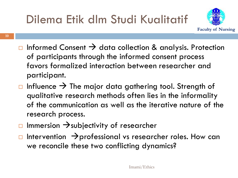

- $\Box$  Informed Consent  $\rightarrow$  data collection & analysis. Protection of participants through the informed consent process favors formalized interaction between researcher and participant.
- $\Box$  Influence  $\rightarrow$  The major data gathering tool. Strength of qualitative research methods often lies in the informality of the communication as well as the iterative nature of the research process.
- $\Box$  Immersion  $\rightarrow$  subjectivity of researcher
- $\Box$  Intervention  $\rightarrow$  professional vs researcher roles. How can we reconcile these two conflicting dynamics?

**10**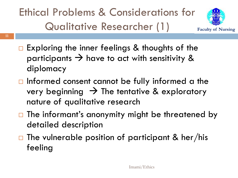Ethical Problems & Considerations for Qualitative Researcher (1)

**11**



- $\Box$  Exploring the inner feelings & thoughts of the participants  $\rightarrow$  have to act with sensitivity & diplomacy
- $\Box$  Informed consent cannot be fully informed a the very beginning  $\rightarrow$  The tentative & exploratory nature of qualitative research
- $\Box$  The informant's anonymity might be threatened by detailed description
- $\Box$  The vulnerable position of participant & her/his feeling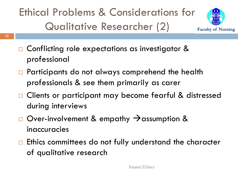#### Ethical Problems & Considerations for Qualitative Researcher (2)



- □ Conflicting role expectations as investigator & professional
- □ Participants do not always comprehend the health professionals & see them primarily as carer
- □ Clients or participant may become fearful & distressed during interviews
- $\Box$  Over-involvement & empathy  $\rightarrow$  assumption & inaccuracies
- $\Box$  Ethics committees do not fully understand the character of qualitative research

**12**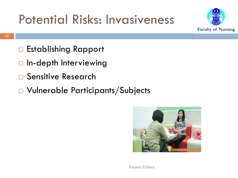#### Potential Risks: Invasiveness



- □ Establishing Rapport
- $\Box$  In-depth Interviewing
- □ Sensitive Research
- Vulnerable Participants/Subjects

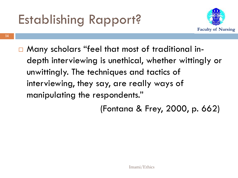### Establishing Rapport?



 Many scholars "feel that most of traditional indepth interviewing is unethical, whether wittingly or unwittingly. The techniques and tactics of interviewing, they say, are really ways of manipulating the respondents."

(Fontana & Frey, 2000, p. 662)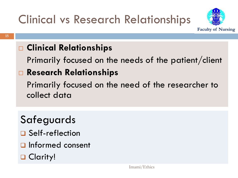#### Clinical vs Research Relationships



#### **Clinical Relationships**

Primarily focused on the needs of the patient/client

#### **Research Relationships**

Primarily focused on the need of the researcher to collect data

#### Safeguards

- □ Self-reflection
- Informed consent
- **□ Clarity!**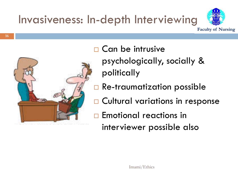#### Invasiveness: In-depth Interviewing





□ Can be intrusive psychologically, socially & politically

- □ Re-traumatization possible
- □ Cultural variations in response
- **□ Emotional reactions in** interviewer possible also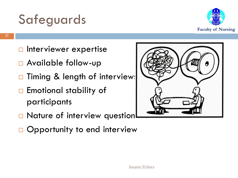#### Safeguards



- $\Box$  Interviewer expertise
- Available follow-up
- Timing & length of interviews
- $\Box$  Emotional stability of participants



- □ Nature of interview question
- □ Opportunity to end interview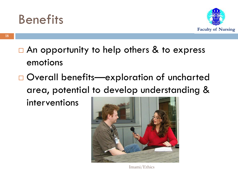#### **Benefits**



- $\Box$  An opportunity to help others & to express emotions
- □ Overall benefits—exploration of uncharted area, potential to develop understanding &

interventions



Imami/Ethics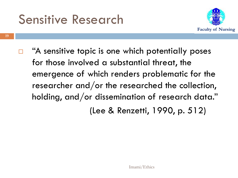#### Sensitive Research



 $\Box$  "A sensitive topic is one which potentially poses for those involved a substantial threat, the emergence of which renders problematic for the researcher and/or the researched the collection, holding, and/or dissemination of research data." (Lee & Renzetti, 1990, p. 512)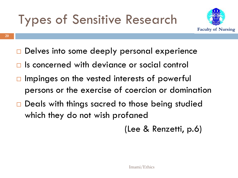## Types of Sensitive Research



- Delves into some deeply personal experience
- $\Box$  Is concerned with deviance or social control
- $\Box$  Impinges on the vested interests of powerful persons or the exercise of coercion or domination
- □ Deals with things sacred to those being studied which they do not wish profaned

(Lee & Renzetti, p.6)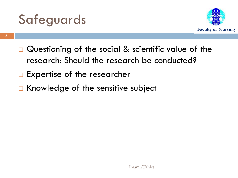



- $\Box$  Questioning of the social & scientific value of the research: Should the research be conducted?
- $\Box$  Expertise of the researcher
- $\Box$  Knowledge of the sensitive subject

**21**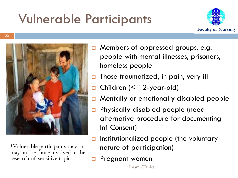# Vulnerable Participants





\*Vulnerable participants may or may not be those involved in the research of sensitive topics

- □ Members of oppressed groups, e.g. people with mental illnesses, prisoners, homeless people
- $\Box$  Those traumatized, in pain, very ill
- □ Children (< 12-year-old)
- □ Mentally or emotionally disabled people
- □ Physically disabled people (need alternative procedure for documenting Inf Consent)
- $\Box$  Institutionalized people (the voluntary nature of participation)
- Pregnant women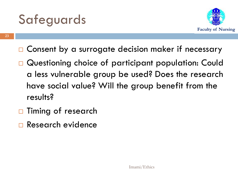#### Safeguards



- □ Consent by a surrogate decision maker if necessary
- Questioning choice of participant population: Could a less vulnerable group be used? Does the research have social value? Will the group benefit from the results?
- $\Box$  Timing of research
- Research evidence

**23**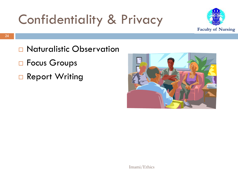## Confidentiality & Privacy



- □ Naturalistic Observation
- □ Focus Groups
- □ Report Writing

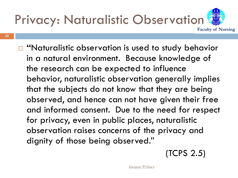

**25**

□ "Naturalistic observation is used to study behavior in a natural environment. Because knowledge of the research can be expected to influence behavior, naturalistic observation generally implies that the subjects do not know that they are being observed, and hence can not have given their free and informed consent. Due to the need for respect for privacy, even in public places, naturalistic observation raises concerns of the privacy and dignity of those being observed."

(TCPS 2.5)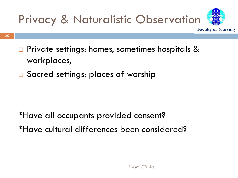

- □ Private settings: homes, sometimes hospitals & workplaces,
- □ Sacred settings: places of worship

\*Have all occupants provided consent? \*Have cultural differences been considered?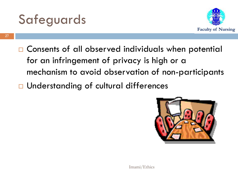



- □ Consents of all observed individuals when potential for an infringement of privacy is high or a mechanism to avoid observation of non-participants
- □ Understanding of cultural differences

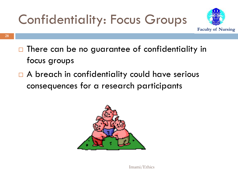# Confidentiality: Focus Groups



- $\Box$  There can be no guarantee of confidentiality in
	- focus groups
	- □ A breach in confidentiality could have serious consequences for a research participants

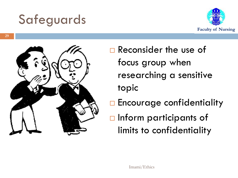#### Safeguards





 Reconsider the use of focus group when researching a sensitive topic

- **Encourage confidentiality**
- $\Box$  Inform participants of limits to confidentiality

**29**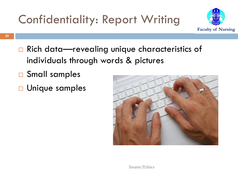

- □ Rich data—revealing unique characteristics of individuals through words & pictures
- □ Small samples
- □ Unique samples

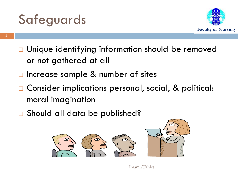#### Safeguards



- □ Unique identifying information should be removed or not gathered at all
- $\Box$  Increase sample & number of sites
- □ Consider implications personal, social, & political: moral imagination
- □ Should all data be published?



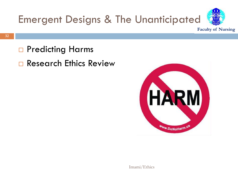

- □ Predicting Harms
- Research Ethics Review

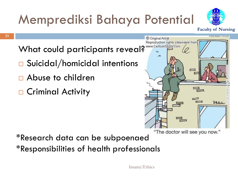# Memprediksi Bahaya Potential



**Faculty of Nursing**

What could participants reveal? **What could participants** 

- □ Suicidal/homicidal intentions
- Abuse to children
- □ Criminal Activity



"The doctor will see you now."

\*Research data can be subpoenaed \*Responsibilities of health professionals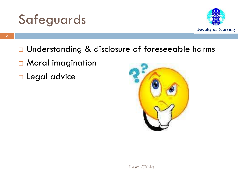



- □ Understanding & disclosure of foreseeable harms
- □ Moral imagination
- **Legal advice**

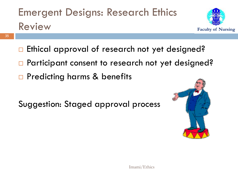#### Emergent Designs: Research Ethics Review



- □ Ethical approval of research not yet designed?
- □ Participant consent to research not yet designed?
- □ Predicting harms & benefits

Suggestion: Staged approval process



**35**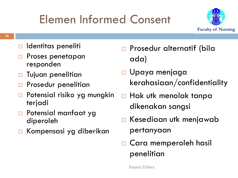#### Elemen Informed Consent



- **36**
- Identitas peneliti
- Proses penetapan responden
- Tujuan penelitian
- **Prosedur penelitian**
- Potensial risiko yg mungkin terjadi
- □ Potensial manfaat yg diperoleh
- Kompensasi yg diberikan
- □ Prosedur alternatif (bila ada)
- Upaya menjaga kerahasiaan/confidentiality
- $\Box$  Hak utk menolak tanpa dikenakan sangsi
- □ Kesediaan utk menjawab pertanyaan
- □ Cara memperoleh hasil penelitian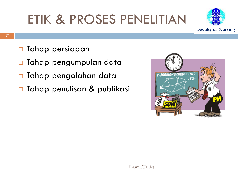# ETIK & PROSES PENELITIAN



- **Tahap persiapan**
- □ Tahap pengumpulan data
- □ Tahap pengolahan data
- □ Tahap penulisan & publikasi

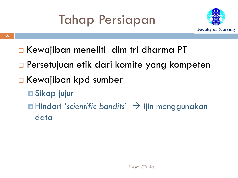## Tahap Persiapan



- □ Kewajiban meneliti dlm tri dharma PT
- □ Persetujuan etik dari komite yang kompeten
- □ Kewajiban kpd sumber
	- **□ Sikap jujur**
	- **□ Hindari 'scientific bandits' > ijin menggunakan** data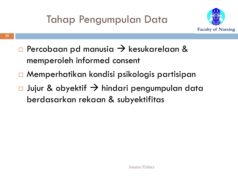

- $\Box$  Percobaan pd manusia  $\rightarrow$  kesukarelaan & memperoleh informed consent
- Memperhatikan kondisi psikologis partisipan
- $\Box$  Jujur & obyektif  $\rightarrow$  hindari pengumpulan data berdasarkan rekaan & subyektifitas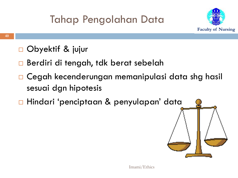#### Tahap Pengolahan Data



- □ Obyektif & jujur
- □ Berdiri di tengah, tdk berat sebelah
- Cegah kecenderungan memanipulasi data shg hasil sesuai dgn hipotesis
- Hindari 'penciptaan & penyulapan' data

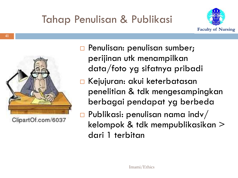



ClipartOf.com/6037

- **Penulisan: penulisan sumber;** perijinan utk menampilkan data/foto yg sifatnya pribadi
- □ Kejujuran: akui keterbatasan penelitian & tdk mengesampingkan berbagai pendapat yg berbeda
- $\Box$  Publikasi: penulisan nama indv/ kelompok & tdk mempublikasikan > dari 1 terbitan